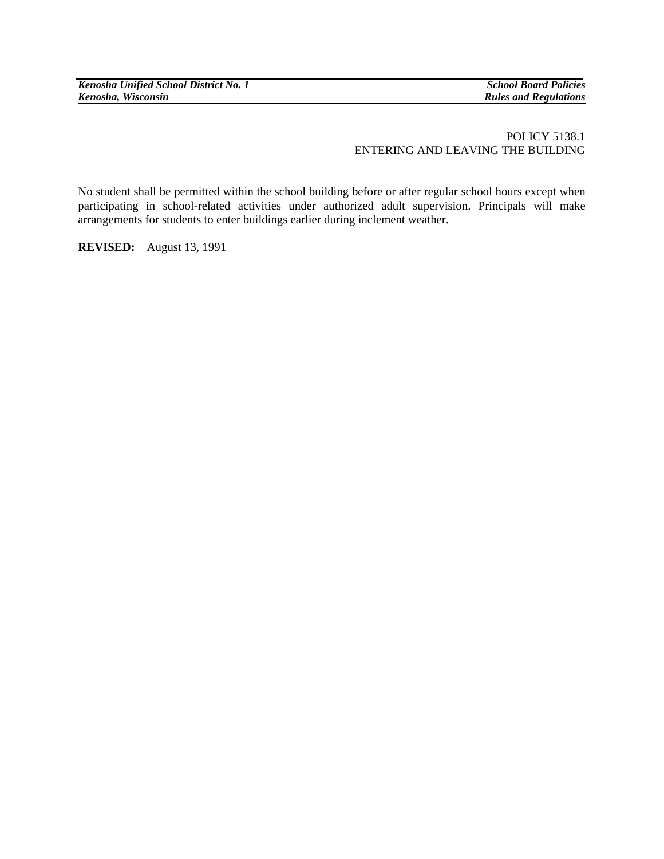*Kenosha Unified School District No. 1* School Board Policies *School Board Policies*<br> *Kenosha, Wisconsin* 

## POLICY 5138.1 ENTERING AND LEAVING THE BUILDING

No student shall be permitted within the school building before or after regular school hours except when participating in school-related activities under authorized adult supervision. Principals will make arrangements for students to enter buildings earlier during inclement weather.

**REVISED:** August 13, 1991